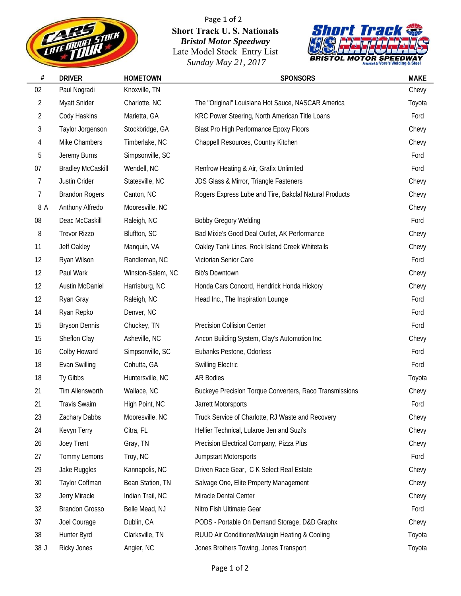

Page 1 of 2 **Short Track U. S. Nationals** *Bristol Motor Speedway* Late Model Stock Entry List *Sunday May 21, 2017*



| $\#$           | <b>DRIVER</b>            | <b>HOMETOWN</b>   | <b>SPONSORS</b>                                         | <b>MAKE</b> |
|----------------|--------------------------|-------------------|---------------------------------------------------------|-------------|
| 02             | Paul Nogradi             | Knoxville, TN     |                                                         | Chevy       |
| 2              | Myatt Snider             | Charlotte, NC     | The "Original" Louisiana Hot Sauce, NASCAR America      | Toyota      |
| 2              | Cody Haskins             | Marietta, GA      | KRC Power Steering, North American Title Loans          | Ford        |
| 3              | Taylor Jorgenson         | Stockbridge, GA   | <b>Blast Pro High Performance Epoxy Floors</b>          | Chevy       |
| 4              | Mike Chambers            | Timberlake, NC    | Chappell Resources, Country Kitchen                     | Chevy       |
| 5              | Jeremy Burns             | Simpsonville, SC  |                                                         | Ford        |
| 07             | <b>Bradley McCaskill</b> | Wendell, NC       | Renfrow Heating & Air, Grafix Unlimited                 | Ford        |
| $\overline{7}$ | Justin Crider            | Statesville, NC   | JDS Glass & Mirror, Triangle Fasteners                  | Chevy       |
| $\overline{7}$ | <b>Brandon Rogers</b>    | Canton, NC        | Rogers Express Lube and Tire, Bakclaf Natural Products  | Chevy       |
| 8 A            | Anthony Alfredo          | Mooresville, NC   |                                                         | Chevy       |
| 08             | Deac McCaskill           | Raleigh, NC       | <b>Bobby Gregory Welding</b>                            | Ford        |
| 8              | <b>Trevor Rizzo</b>      | Bluffton, SC      | Bad Mixie's Good Deal Outlet, AK Performance            | Chevy       |
| 11             | Jeff Oakley              | Manquin, VA       | Oakley Tank Lines, Rock Island Creek Whitetails         | Chevy       |
| 12             | Ryan Wilson              | Randleman, NC     | Victorian Senior Care                                   | Ford        |
| 12             | Paul Wark                | Winston-Salem, NC | <b>Bib's Downtown</b>                                   | Chevy       |
| 12             | <b>Austin McDaniel</b>   | Harrisburg, NC    | Honda Cars Concord, Hendrick Honda Hickory              | Chevy       |
| 12             | Ryan Gray                | Raleigh, NC       | Head Inc., The Inspiration Lounge                       | Ford        |
| 14             | Ryan Repko               | Denver, NC        |                                                         | Ford        |
| 15             | <b>Bryson Dennis</b>     | Chuckey, TN       | Precision Collision Center                              | Ford        |
| 15             | Sheflon Clay             | Asheville, NC     | Ancon Building System, Clay's Automotion Inc.           | Chevy       |
| 16             | Colby Howard             | Simpsonville, SC  | Eubanks Pestone, Odorless                               | Ford        |
| 18             | Evan Swilling            | Cohutta, GA       | <b>Swilling Electric</b>                                | Ford        |
| 18             | Ty Gibbs                 | Huntersville, NC  | <b>AR Bodies</b>                                        | Toyota      |
| 21             | Tim Allensworth          | Wallace, NC       | Buckeye Precision Torque Converters, Raco Transmissions | Chevy       |
| 21             | <b>Travis Swaim</b>      | High Point, NC    | Jarrett Motorsports                                     | Ford        |
| 23             | Zachary Dabbs            | Mooresville, NC   | Truck Service of Charlotte, RJ Waste and Recovery       | Chevy       |
| 24             | Kevyn Terry              | Citra, FL         | Hellier Technical, Lularoe Jen and Suzi's               | Chevy       |
| 26             | Joey Trent               | Gray, TN          | Precision Electrical Company, Pizza Plus                | Chevy       |
| 27             | Tommy Lemons             | Troy, NC          | <b>Jumpstart Motorsports</b>                            | Ford        |
| 29             | Jake Ruggles             | Kannapolis, NC    | Driven Race Gear, C K Select Real Estate                | Chevy       |
| 30             | Taylor Coffman           | Bean Station, TN  | Salvage One, Elite Property Management                  | Chevy       |
| 32             | Jerry Miracle            | Indian Trail, NC  | Miracle Dental Center                                   | Chevy       |
| 32             | <b>Brandon Grosso</b>    | Belle Mead, NJ    | Nitro Fish Ultimate Gear                                | Ford        |
| 37             | Joel Courage             | Dublin, CA        | PODS - Portable On Demand Storage, D&D Graphx           | Chevy       |
| 38             | Hunter Byrd              | Clarksville, TN   | RUUD Air Conditioner/Malugin Heating & Cooling          | Toyota      |
| 38 J           | <b>Ricky Jones</b>       | Angier, NC        | Jones Brothers Towing, Jones Transport                  | Toyota      |